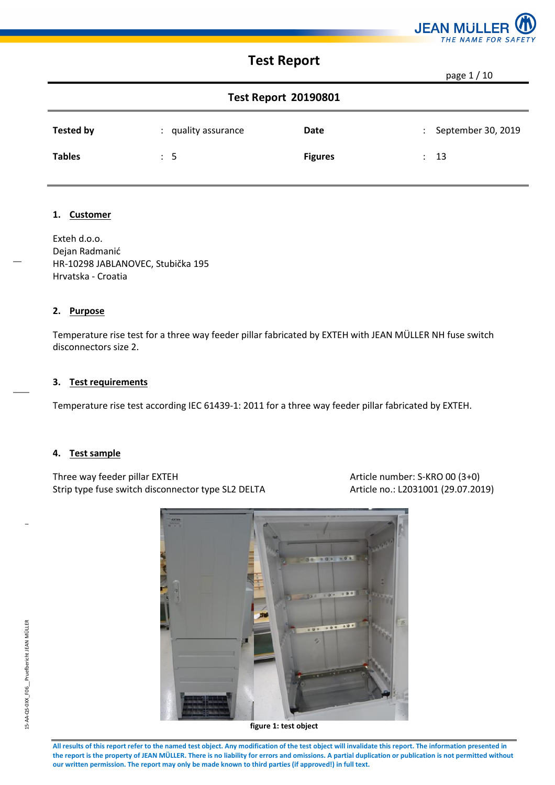

page 1 / 10

| <b>Test Report 20190801</b> |                     |                |                      |                      |  |  |
|-----------------------------|---------------------|----------------|----------------------|----------------------|--|--|
| Tested by                   | : quality assurance | Date           |                      | : September 30, 2019 |  |  |
| <b>Tables</b>               | $\therefore$ 5      | <b>Figures</b> | $\ddot{\phantom{0}}$ | - 13                 |  |  |

### **1. Customer**

Exteh d.o.o. Dejan Radmanić HR-10298 JABLANOVEC, Stubička 195 Hrvatska - Croatia

#### **2. Purpose**

Temperature rise test for a three way feeder pillar fabricated by EXTEH with JEAN MÜLLER NH fuse switch disconnectors size 2.

### **3. Test requirements**

Temperature rise test according IEC 61439-1: 2011 for a three way feeder pillar fabricated by EXTEH.

#### **4. Test sample**

Three way feeder pillar EXTEH Article number: S-KRO 00 (3+0) Strip type fuse switch disconnector type SL2 DELTA Article no.: L2031001 (29.07.2019)

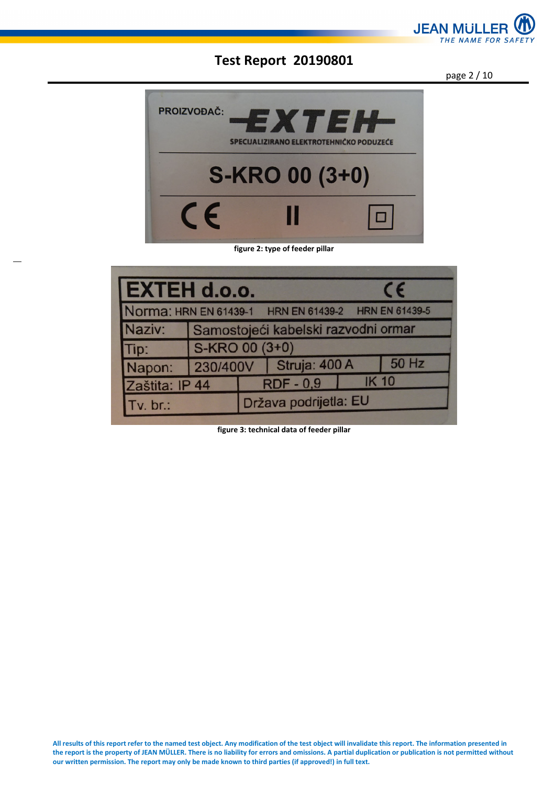

page 2 / 10



#### **figure 2: type of feeder pillar**

| EXTEH d.o.o.   |                                     |  |                                                     |              | $\epsilon$ |  |
|----------------|-------------------------------------|--|-----------------------------------------------------|--------------|------------|--|
|                |                                     |  | Norma: HRN EN 61439-1 HRN EN 61439-2 HRN EN 61439-5 |              |            |  |
| Naziv:         | Samostojeći kabelski razvodni ormar |  |                                                     |              |            |  |
| Tip:           | S-KRO 00 (3+0)                      |  |                                                     |              |            |  |
| Napon:         |                                     |  | 230/400V Struja: 400 A                              |              | 50 Hz      |  |
| Zaštita: IP 44 |                                     |  | <b>RDF-0,9</b>                                      | <b>IK 10</b> |            |  |
| $Tv.$ br.:     |                                     |  | Država podrijetla: EU                               |              |            |  |

**figure 3: technical data of feeder pillar**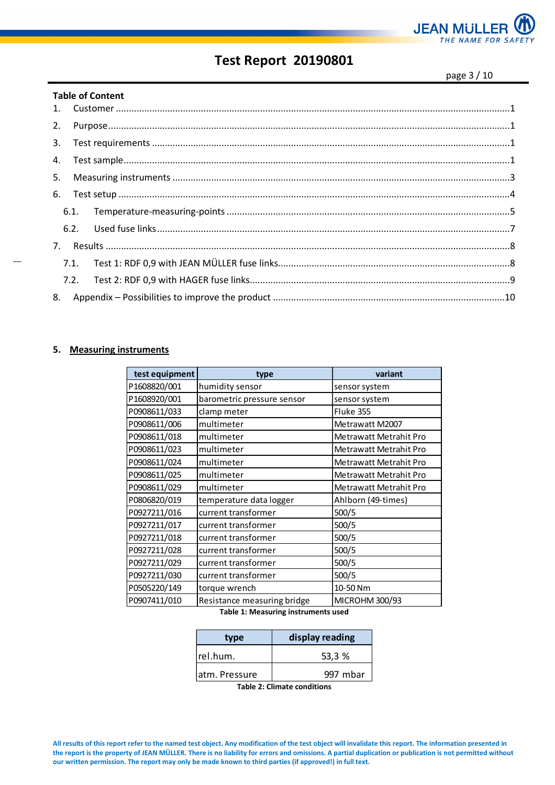

page 3 / 10

|    |      | <b>Table of Content</b>                                                                                                                                                                                                                                                                                                                                                                                                                                                                                        |  |
|----|------|----------------------------------------------------------------------------------------------------------------------------------------------------------------------------------------------------------------------------------------------------------------------------------------------------------------------------------------------------------------------------------------------------------------------------------------------------------------------------------------------------------------|--|
|    |      |                                                                                                                                                                                                                                                                                                                                                                                                                                                                                                                |  |
| 2. |      | ${\bf Purpose.} \label{thm:1} {\bf \ldots} \qquad {\bf \ldots} \qquad \qquad {\bf \ldots} \qquad \qquad {\bf \ldots} \qquad \qquad {\bf \ldots} \qquad \qquad {\bf \ldots} \qquad \qquad {\bf \ldots} \qquad \qquad {\bf \ldots} \qquad \qquad {\bf \ldots} \qquad \qquad {\bf \ldots} \qquad \qquad {\bf \ldots} \qquad \qquad {\bf \ldots} \qquad \qquad {\bf \ldots} \qquad \qquad {\bf \ldots} \qquad \qquad {\bf \ldots} \qquad \qquad {\bf \ldots} \qquad \qquad {\bf \ldots} \qquad \qquad {\bf \ldots$ |  |
| 3. |      |                                                                                                                                                                                                                                                                                                                                                                                                                                                                                                                |  |
| 4. |      |                                                                                                                                                                                                                                                                                                                                                                                                                                                                                                                |  |
| 5. |      |                                                                                                                                                                                                                                                                                                                                                                                                                                                                                                                |  |
| 6. |      |                                                                                                                                                                                                                                                                                                                                                                                                                                                                                                                |  |
|    | 6.1. |                                                                                                                                                                                                                                                                                                                                                                                                                                                                                                                |  |
|    | 6.2. |                                                                                                                                                                                                                                                                                                                                                                                                                                                                                                                |  |
| 7. |      |                                                                                                                                                                                                                                                                                                                                                                                                                                                                                                                |  |
|    | 7.1. |                                                                                                                                                                                                                                                                                                                                                                                                                                                                                                                |  |
|    | 7.2. |                                                                                                                                                                                                                                                                                                                                                                                                                                                                                                                |  |
| 8. |      |                                                                                                                                                                                                                                                                                                                                                                                                                                                                                                                |  |

#### **5. Measuring instruments**

| test equipment | type                        | variant                |
|----------------|-----------------------------|------------------------|
| P1608820/001   | humidity sensor             | sensor system          |
| P1608920/001   | barometric pressure sensor  | sensor system          |
| P0908611/033   | clamp meter                 | Fluke 355              |
| P0908611/006   | multimeter                  | Metrawatt M2007        |
| P0908611/018   | multimeter                  | Metrawatt Metrahit Pro |
| P0908611/023   | multimeter                  | Metrawatt Metrahit Pro |
| P0908611/024   | multimeter                  | Metrawatt Metrahit Pro |
| P0908611/025   | multimeter                  | Metrawatt Metrahit Pro |
| P0908611/029   | multimeter                  | Metrawatt Metrahit Pro |
| P0806820/019   | temperature data logger     | Ahlborn (49-times)     |
| P0927211/016   | current transformer         | 500/5                  |
| P0927211/017   | current transformer         | 500/5                  |
| P0927211/018   | current transformer         | 500/5                  |
| P0927211/028   | current transformer         | 500/5                  |
| P0927211/029   | current transformer         | 500/5                  |
| P0927211/030   | current transformer         | 500/5                  |
| P0505220/149   | torque wrench               | 10-50 Nm               |
| P0907411/010   | Resistance measuring bridge | MICROHM 300/93         |

**Table 1: Measuring instruments used** 

| type           | display reading |  |  |  |  |
|----------------|-----------------|--|--|--|--|
| rel.hum.       | 53,3 %          |  |  |  |  |
| latm. Pressure | 997 mbar        |  |  |  |  |

**Table 2: Climate conditions**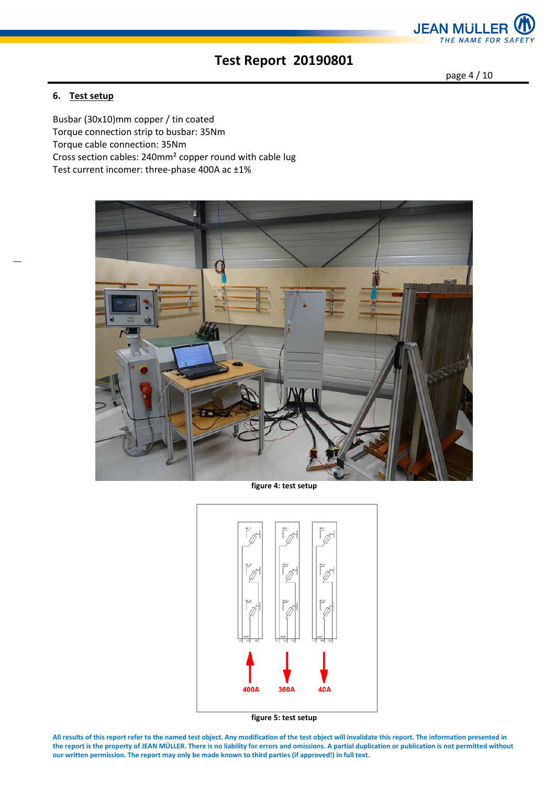

page 4 / 10

### **6. Test setup**

Busbar (30x10)mm copper / tin coated Torque connection strip to busbar: 35Nm Torque cable connection: 35Nm Cross section cables: 240mm² copper round with cable lug Test current incomer: three-phase 400A ac ±1%



**figure 4: test setup** 



**figure 5: test setup**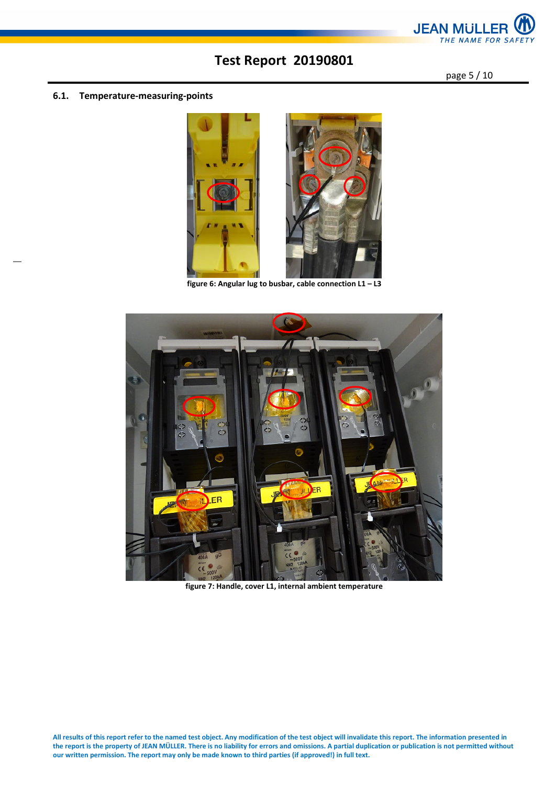

page 5 / 10

#### **6.1. Temperature-measuring-points**



**figure 6: Angular lug to busbar, cable connection L1 – L3** 



**figure 7: Handle, cover L1, internal ambient temperature**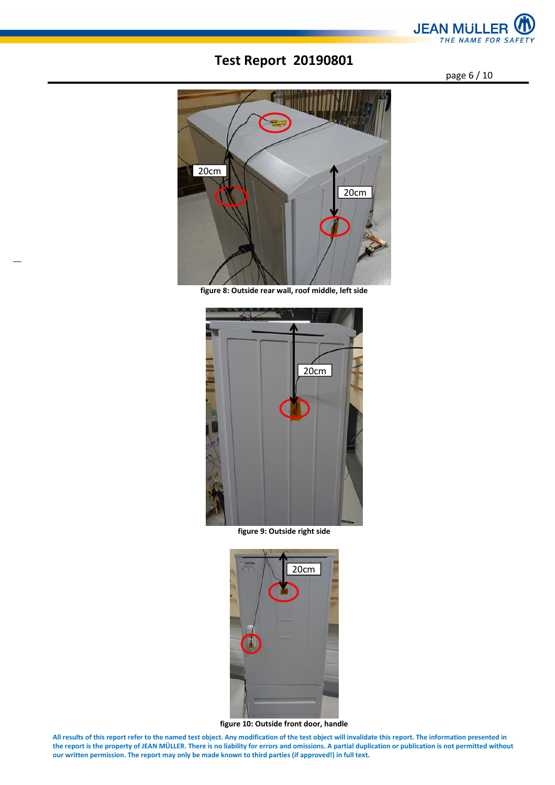

page 6 / 10



**figure 8: Outside rear wall, roof middle, left side**



**figure 9: Outside right side** 



**figure 10: Outside front door, handle**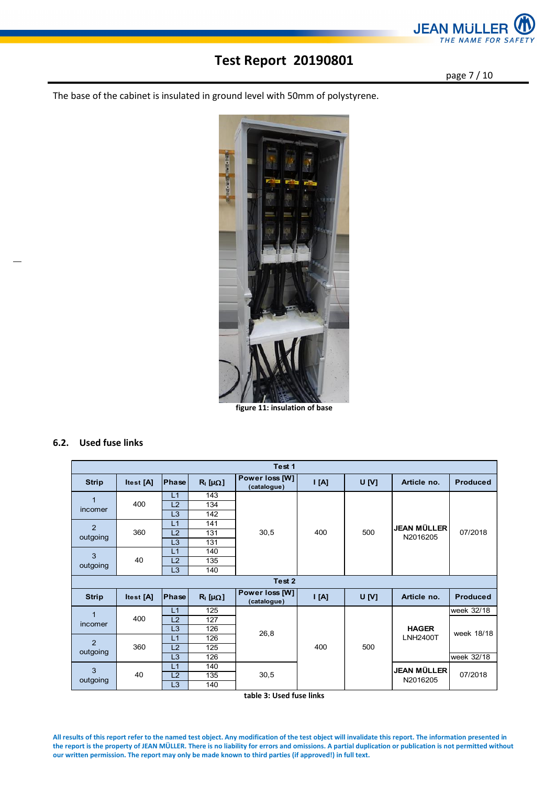

page 7 / 10

The base of the cabinet is insulated in ground level with 50mm of polystyrene.



**figure 11: insulation of base** 

#### **6.2. Used fuse links**

| Test 1         |           |                |                       |                               |     |              |                         |                 |  |
|----------------|-----------|----------------|-----------------------|-------------------------------|-----|--------------|-------------------------|-----------------|--|
| <b>Strip</b>   | Itest [A] | Phase          | $R_1$ [ $\mu\Omega$ ] | Power loss [W]<br>(catalogue) | A   | <b>U</b> [V] | Article no.             | <b>Produced</b> |  |
| $\overline{1}$ |           | L1             | 143                   |                               |     |              |                         |                 |  |
| incomer        | 400       | L2             | 134                   |                               |     |              |                         |                 |  |
|                |           | L <sub>3</sub> | 142                   |                               |     |              |                         |                 |  |
| $\overline{2}$ |           | L1             | 141                   |                               |     |              | JEAN MÜLLER             |                 |  |
| outgoing       | 360       | L2             | 131                   | 30,5                          | 400 | 500          | N2016205                | 07/2018         |  |
|                |           | L3             | 131                   |                               |     |              |                         |                 |  |
| 3              |           | L1             | 140                   |                               |     |              |                         |                 |  |
| outgoing       | 40        | L2             | 135                   |                               |     |              |                         |                 |  |
|                |           | L <sub>3</sub> | 140                   |                               |     |              |                         |                 |  |
| Test 2         |           |                |                       |                               |     |              |                         |                 |  |
|                |           |                |                       |                               |     |              |                         |                 |  |
| <b>Strip</b>   | Itest [A] | Phase          | $R_1$ [ $\mu\Omega$ ] | Power loss [W]<br>(catalogue) | [A] | U[V]         | Article no.             | <b>Produced</b> |  |
|                |           | L1             | 125                   |                               |     |              |                         | week 32/18      |  |
| 1              | 400       | L2             | 127                   |                               |     |              |                         |                 |  |
| incomer        |           | L <sub>3</sub> | 126                   |                               |     |              | <b>HAGER</b>            |                 |  |
|                |           | L1             | 126                   | 26,8                          |     |              | <b>LNH2400T</b>         | week 18/18      |  |
| $\overline{2}$ | 360       | L2             | 125                   |                               | 400 | 500          |                         |                 |  |
| outgoing       |           | L <sub>3</sub> | 126                   |                               |     |              |                         | week 32/18      |  |
|                |           | L1             | 140                   |                               |     |              |                         |                 |  |
| 3<br>outgoing  | 40        | L2             | 135                   | 30,5                          |     |              | JEAN MÜLLER<br>N2016205 | 07/2018         |  |

**table 3: Used fuse links**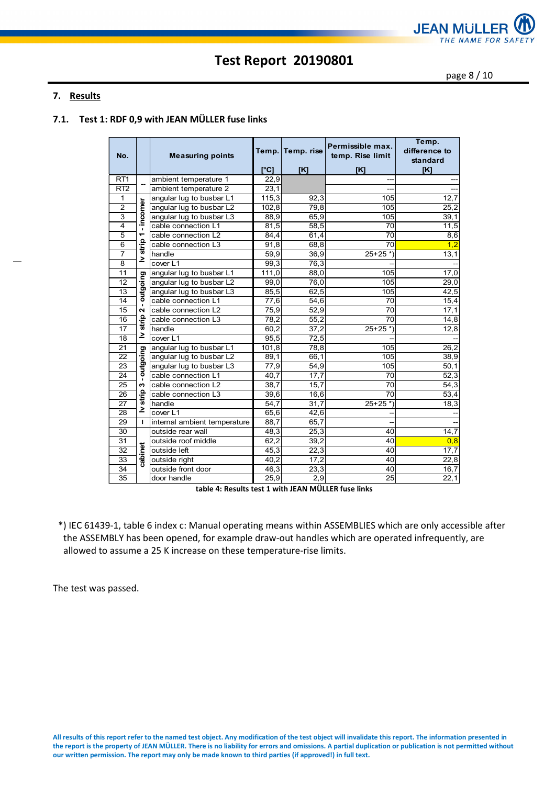

page 8 / 10

### **7. Results**

### **7.1. Test 1: RDF 0,9 with JEAN MÜLLER fuse links**

| No.             |                   | <b>Measuring points</b>      | Temp.<br>[°C] | Temp. rise<br>[K] | Permissible max.<br>temp. Rise limit<br>[K] | Temp.<br>difference to<br>standard<br>[K] |
|-----------------|-------------------|------------------------------|---------------|-------------------|---------------------------------------------|-------------------------------------------|
| RT <sub>1</sub> |                   | ambient temperature 1        | 22,9          |                   |                                             |                                           |
| RT2             |                   | ambient temperature 2        | 23,1          |                   |                                             | ---                                       |
| 1               |                   | angular lug to busbar L1     | 115,3         | 92,3              | 105                                         | 12,7                                      |
| $\overline{2}$  | incomer           | angular lug to busbar L2     | 102,8         | 79,8              | 105                                         | 25,2                                      |
| $\overline{3}$  |                   | angular lug to busbar L3     | 88,9          | 65,9              | 105                                         | 39,1                                      |
| $\overline{4}$  | $\blacksquare$    | cable connection L1          | 81,5          | 58,5              | 70                                          | 11,5                                      |
| $\overline{5}$  | ᠆                 | cable connection L2          | 84,4          | 61,4              | 70                                          | 8,6                                       |
| $\overline{6}$  | strip             | cable connection L3          | 91,8          | 68,8              | 70                                          | 1,2                                       |
| $\overline{7}$  |                   | handle                       | 59,9          | 36,9              | $25+25*)$                                   | 13,1                                      |
| 8               | ≥                 | cover L1                     | 99,3          | 76,3              |                                             |                                           |
| 11              |                   | angular lug to busbar L1     | 111,0         | 88,0              | 105                                         | 17,0                                      |
| 12              | paio              | angular lug to busbar L2     | 99,0          | 76,0              | 105                                         | 29,0                                      |
| 13              | igno              | angular lug to busbar L3     | 85,5          | 62,5              | 105                                         | 42,5                                      |
| $\overline{14}$ | $\blacksquare$    | cable connection L1          | 77,6          | 54,6              | $\overline{70}$                             | 15,4                                      |
| 15              | $\mathbf{\Omega}$ | cable connection L2          | 75,9          | 52,9              | 70                                          | 17,1                                      |
| 16              | strip             | cable connection L3          | 78,2          | 55,2              | 70                                          | 14,8                                      |
| $\overline{17}$ |                   | handle                       | 60,2          | 37,2              | $25+25$ <sup>*</sup> )                      | 12,8                                      |
| 18              | ≥                 | cover L1                     | 95,5          | 72,5              |                                             |                                           |
| $\overline{21}$ | o                 | angular lug to busbar L1     | 101,8         | 78,8              | 105                                         | 26,2                                      |
| 22              | outgoin           | angular lug to busbar L2     | 89,1          | 66,1              | 105                                         | 38,9                                      |
| $\overline{23}$ |                   | angular lug to busbar L3     | 77,9          | 54,9              | 105                                         | 50,1                                      |
| $\overline{24}$ |                   | cable connection L1          | 40,7          | 17,7              | 70                                          | 52,3                                      |
| 25              | 6                 | cable connection L2          | 38,7          | 15,7              | $\overline{70}$                             | 54,3                                      |
| $\overline{26}$ | strip             | cable connection L3          | 39,6          | 16,6              | 70                                          | 53,4                                      |
| $\overline{27}$ |                   | handle                       | 54,7          | 31,7              | $25+25$ *)                                  | 18,3                                      |
| 28              | ≥                 | cover L1                     | 65,6          | 42,6              |                                             |                                           |
| 29              | п                 | internal ambient temperature | 88,7          | 65,7              |                                             |                                           |
| 30              |                   | outside rear wall            | 48,3          | 25,3              | 40                                          | 14,7                                      |
| 31              |                   | outside roof middle          | 62,2          | 39,2              | 40                                          | 0,8                                       |
| 32              |                   | outside left                 | 45,3          | 22,3              | 40                                          | 17,7                                      |
| 33              | cabinet           | outside right                | 40,2          | 17,2              | 40                                          | 22,8                                      |
| 34              |                   | outside front door           | 46,3          | 23,3              | 40                                          | 16,7                                      |
| $\overline{35}$ |                   | door handle                  | 25,9          | $\overline{2.9}$  | $\overline{25}$                             | 22,1                                      |

**table 4: Results test 1 with JEAN MÜLLER fuse links** 

\*) IEC 61439-1, table 6 index c: Manual operating means within ASSEMBLIES which are only accessible after the ASSEMBLY has been opened, for example draw-out handles which are operated infrequently, are allowed to assume a 25 K increase on these temperature-rise limits.

The test was passed.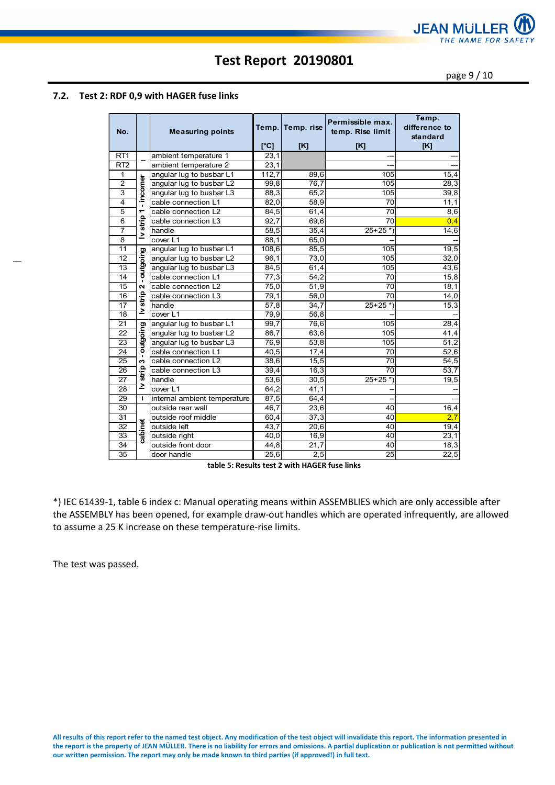

page 9 / 10

#### **7.2. Test 2: RDF 0,9 with HAGER fuse links**

| No.             |                          | <b>Measuring points</b>      | Temp.<br>[°C]     | Temp. rise<br>[K] | Permissible max.<br>temp. Rise limit<br>[K] | Temp.<br>difference to<br>standard<br>[K] |
|-----------------|--------------------------|------------------------------|-------------------|-------------------|---------------------------------------------|-------------------------------------------|
| RT <sub>1</sub> |                          | ambient temperature 1        | 23,1              |                   |                                             |                                           |
| RT <sub>2</sub> |                          | ambient temperature 2        | 23,1              |                   |                                             |                                           |
| 1               |                          | angular lug to busbar L1     | 112,7             | 89,6              | 105                                         | 15,4                                      |
| $\overline{2}$  |                          | angular lug to busbar L2     | 99,8              | 76,7              | 105                                         | 28,3                                      |
| 3               | incomer                  | angular lug to busbar L3     | 88,3              | 65,2              | 105                                         | 39,8                                      |
| $\overline{4}$  | $\mathbf{r}$             | cable connection L1          | 82,0              | 58,9              | $\overline{70}$                             | 11,1                                      |
| $\overline{5}$  | $\overline{\phantom{0}}$ | cable connection L2          | 84,5              | 61,4              | 70                                          | 8,6                                       |
| 6               | strip                    | cable connection L3          | 92,7              | 69,6              | $\overline{70}$                             | 0,4                                       |
| $\overline{7}$  | ≥                        | handle                       | 58,5              | 35,4              | $25+25$ *)                                  | 14,6                                      |
| $\overline{8}$  |                          | cover L1                     | 88,1              | 65,0              |                                             |                                           |
| 11              |                          | angular lug to busbar L1     | 108,6             | 85,5              | 105                                         | 19,5                                      |
| 12              | putgoing                 | angular lug to busbar L2     | 96,1              | 73,0              | 105                                         | 32,0                                      |
| 13              |                          | angular lug to busbar L3     | 84,5              | 61,4              | 105                                         | 43,6                                      |
| 14              |                          | cable connection L1          | $\overline{77,3}$ | 54,2              | 70                                          | 15,8                                      |
| $\overline{15}$ | $\mathbf{a}$             | cable connection L2          | 75,0              | 51,9              | $\overline{70}$                             | 18,1                                      |
| 16              | strip                    | cable connection L3          | 79,1              | 56,0              | 70                                          | 14,0                                      |
| 17              |                          | handle                       | 57,8              | 34,7              | $25+25$ *)                                  | 15,3                                      |
| $\overline{18}$ | ≥                        | cover L1                     | 79,9              | 56, 8             |                                             |                                           |
| 21              |                          | angular lug to busbar L1     | 99,7              | 76,6              | 105                                         | 28,4                                      |
| 22              |                          | angular lug to busbar L2     | 86,7              | 63,6              | 105                                         | 41,4                                      |
| $\overline{23}$ | putgoing                 | angular lug to busbar L3     | 76,9              | 53,8              | 105                                         | 51,2                                      |
| 24              |                          | cable connection L1          | 40,5              | 17,4              | 70                                          | 52,6                                      |
| 25              | ω                        | cable connection L2          | 38,6              | 15,5              | 70                                          | 54,5                                      |
| 26              | strip                    | cable connection L3          | 39,4              | 16,3              | 70                                          | 53,7                                      |
| 27              |                          | handle                       | 53,6              | 30,5              | $25+25$ <sup>*</sup> )                      | 19,5                                      |
| $\overline{28}$ | ≥                        | cover L1                     | 64,2              | 41,1              |                                             |                                           |
| 29              | I.                       | internal ambient temperature | 87,5              | 64,4              |                                             |                                           |
| 30              |                          | outside rear wall            | 46,7              | 23,6              | 40                                          | 16,4                                      |
| 31              |                          | outside roof middle          | 60,4              | 37,3              | 40                                          | 2,7                                       |
| $\overline{32}$ |                          | outside left                 | $\overline{43,7}$ | 20,6              | 40                                          | 19,4                                      |
| $\overline{33}$ | cabinet                  | outside right                | 40,0              | 16,9              | 40                                          | 23,1                                      |
| $\overline{34}$ |                          | outside front door           | 44,8              | 21,7              | 40                                          | 18,3                                      |
| 35              |                          | door handle                  | 25,6              | 2.5               | 25                                          | 22,5                                      |

**table 5: Results test 2 with HAGER fuse links** 

\*) IEC 61439-1, table 6 index c: Manual operating means within ASSEMBLIES which are only accessible after the ASSEMBLY has been opened, for example draw-out handles which are operated infrequently, are allowed to assume a 25 K increase on these temperature-rise limits.

The test was passed.